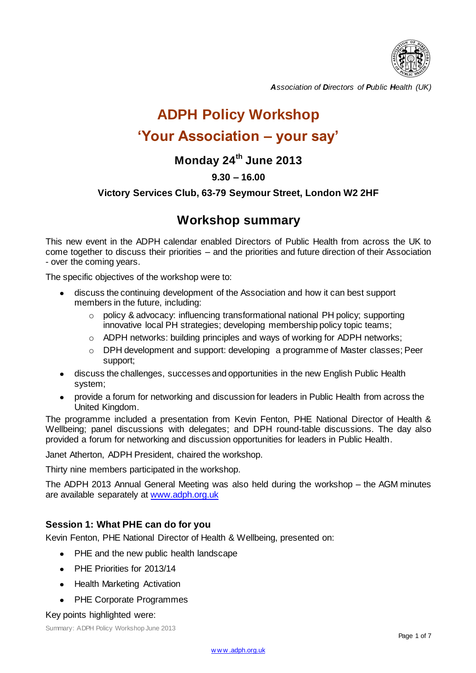

*Association of Directors of Public Health (UK)*

# **ADPH Policy Workshop 'Your Association – your say'**

# **Monday 24th June 2013**

# **9.30 – 16.00**

# **Victory Services Club, 63-79 Seymour Street, London W2 2HF**

# **Workshop summary**

This new event in the ADPH calendar enabled Directors of Public Health from across the UK to come together to discuss their priorities – and the priorities and future direction of their Association - over the coming years.

The specific objectives of the workshop were to:

- discuss the continuing development of the Association and how it can best support  $\bullet$ members in the future, including:
	- o policy & advocacy: influencing transformational national PH policy; supporting innovative local PH strategies; developing membership policy topic teams;
	- o ADPH networks: building principles and ways of working for ADPH networks;
	- o DPH development and support: developing a programme of Master classes; Peer support;
- discuss the challenges, successes and opportunities in the new English Public Health system;
- provide a forum for networking and discussion for leaders in Public Health from across the  $\bullet$ United Kingdom.

The programme included a presentation from Kevin Fenton, PHE National Director of Health & Wellbeing; panel discussions with delegates; and DPH round-table discussions. The day also provided a forum for networking and discussion opportunities for leaders in Public Health.

Janet Atherton, ADPH President, chaired the workshop.

Thirty nine members participated in the workshop.

The ADPH 2013 Annual General Meeting was also held during the workshop – the AGM minutes are available separately at [www.adph.org.uk](http://www.adph.org.uk/) 

# **Session 1: What PHE can do for you**

Kevin Fenton, PHE National Director of Health & Wellbeing, presented on:

- $\bullet$ PHE and the new public health landscape
- PHE Priorities for 2013/14
- Health Marketing Activation
- PHE Corporate Programmes

#### Key points highlighted were:

Summary: ADPH Policy Workshop June 2013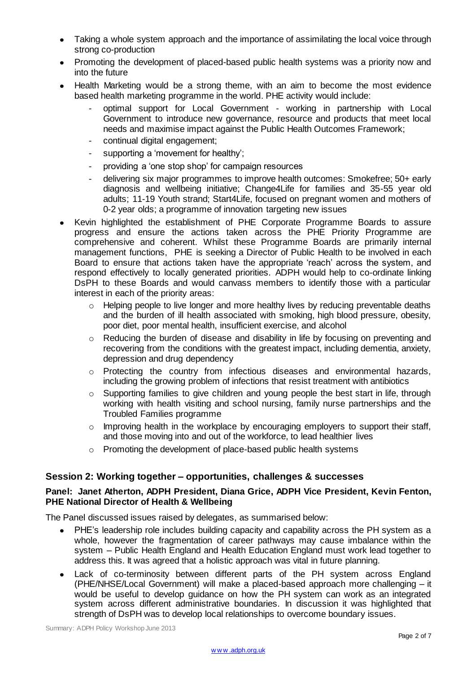- Taking a whole system approach and the importance of assimilating the local voice through  $\bullet$ strong co-production
- Promoting the development of placed-based public health systems was a priority now and into the future
- Health Marketing would be a strong theme, with an aim to become the most evidence  $\bullet$ based health marketing programme in the world. PHE activity would include:
	- optimal support for Local Government working in partnership with Local Government to introduce new governance, resource and products that meet local needs and maximise impact against the Public Health Outcomes Framework;
	- continual digital engagement;
	- supporting a 'movement for healthy';
	- providing a 'one stop shop' for campaign resources
	- delivering six major programmes to improve health outcomes: Smokefree; 50+ early diagnosis and wellbeing initiative; Change4Life for families and 35-55 year old adults; 11-19 Youth strand; Start4Life, focused on pregnant women and mothers of 0-2 year olds; a programme of innovation targeting new issues
- Kevin highlighted the establishment of PHE Corporate Programme Boards to assure progress and ensure the actions taken across the PHE Priority Programme are comprehensive and coherent. Whilst these Programme Boards are primarily internal management functions, PHE is seeking a Director of Public Health to be involved in each Board to ensure that actions taken have the appropriate 'reach' across the system, and respond effectively to locally generated priorities. ADPH would help to co-ordinate linking DsPH to these Boards and would canvass members to identify those with a particular interest in each of the priority areas:
	- $\circ$  Helping people to live longer and more healthy lives by reducing preventable deaths and the burden of ill health associated with smoking, high blood pressure, obesity, poor diet, poor mental health, insufficient exercise, and alcohol
	- $\circ$  Reducing the burden of disease and disability in life by focusing on preventing and recovering from the conditions with the greatest impact, including dementia, anxiety, depression and drug dependency
	- o Protecting the country from infectious diseases and environmental hazards, including the growing problem of infections that resist treatment with antibiotics
	- o Supporting families to give children and young people the best start in life, through working with health visiting and school nursing, family nurse partnerships and the Troubled Families programme
	- o Improving health in the workplace by encouraging employers to support their staff, and those moving into and out of the workforce, to lead healthier lives
	- o Promoting the development of place-based public health systems

# **Session 2: Working together – opportunities, challenges & successes**

#### **Panel: Janet Atherton, ADPH President, Diana Grice, ADPH Vice President, Kevin Fenton, PHE National Director of Health & Wellbeing**

The Panel discussed issues raised by delegates, as summarised below:

- PHE's leadership role includes building capacity and capability across the PH system as a whole, however the fragmentation of career pathways may cause imbalance within the system – Public Health England and Health Education England must work lead together to address this. It was agreed that a holistic approach was vital in future planning.
- Lack of co-terminosity between different parts of the PH system across England (PHE/NHSE/Local Government) will make a placed-based approach more challenging – it would be useful to develop guidance on how the PH system can work as an integrated system across different administrative boundaries. In discussion it was highlighted that strength of DsPH was to develop local relationships to overcome boundary issues.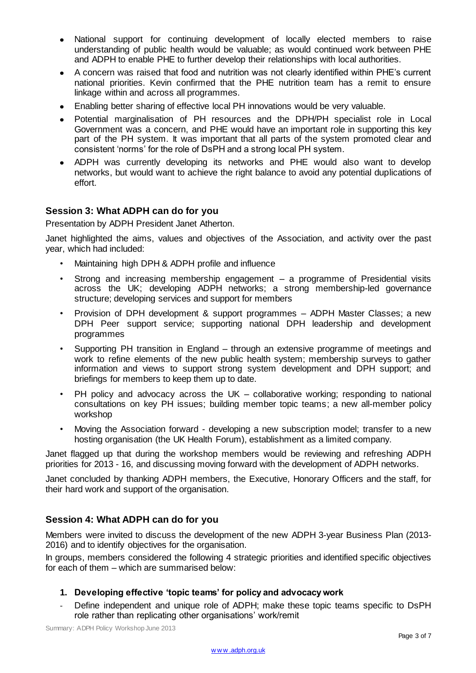- National support for continuing development of locally elected members to raise  $\bullet$ understanding of public health would be valuable; as would continued work between PHE and ADPH to enable PHE to further develop their relationships with local authorities.
- A concern was raised that food and nutrition was not clearly identified within PHE's current  $\bullet$ national priorities. Kevin confirmed that the PHE nutrition team has a remit to ensure linkage within and across all programmes.
- Enabling better sharing of effective local PH innovations would be very valuable.  $\bullet$
- Potential marginalisation of PH resources and the DPH/PH specialist role in Local  $\bullet$ Government was a concern, and PHE would have an important role in supporting this key part of the PH system. It was important that all parts of the system promoted clear and consistent 'norms' for the role of DsPH and a strong local PH system.
- ADPH was currently developing its networks and PHE would also want to develop  $\bullet$ networks, but would want to achieve the right balance to avoid any potential duplications of effort.

# **Session 3: What ADPH can do for you**

Presentation by ADPH President Janet Atherton.

Janet highlighted the aims, values and objectives of the Association, and activity over the past year, which had included:

- Maintaining high DPH & ADPH profile and influence
- Strong and increasing membership engagement  $-$  a programme of Presidential visits across the UK; developing ADPH networks; a strong membership-led governance structure; developing services and support for members
- Provision of DPH development & support programmes ADPH Master Classes; a new DPH Peer support service; supporting national DPH leadership and development programmes
- Supporting PH transition in England through an extensive programme of meetings and work to refine elements of the new public health system; membership surveys to gather information and views to support strong system development and DPH support; and briefings for members to keep them up to date.
- $PH$  policy and advocacy across the UK collaborative working; responding to national consultations on key PH issues; building member topic teams; a new all-member policy workshop
- Moving the Association forward developing a new subscription model; transfer to a new hosting organisation (the UK Health Forum), establishment as a limited company.

Janet flagged up that during the workshop members would be reviewing and refreshing ADPH priorities for 2013 - 16, and discussing moving forward with the development of ADPH networks.

Janet concluded by thanking ADPH members, the Executive, Honorary Officers and the staff, for their hard work and support of the organisation.

# **Session 4: What ADPH can do for you**

Members were invited to discuss the development of the new ADPH 3-year Business Plan (2013- 2016) and to identify objectives for the organisation.

In groups, members considered the following 4 strategic priorities and identified specific objectives for each of them – which are summarised below:

#### **1. Developing effective 'topic teams' for policy and advocacy work**

Define independent and unique role of ADPH; make these topic teams specific to DsPH role rather than replicating other organisations' work/remit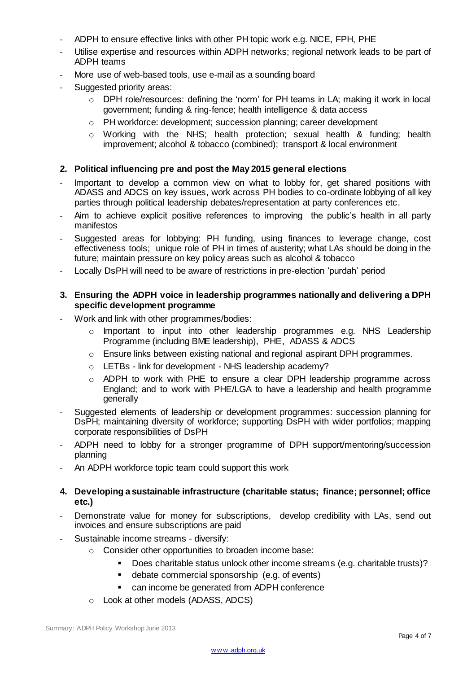- ADPH to ensure effective links with other PH topic work e.g. NICE, FPH, PHE
- Utilise expertise and resources within ADPH networks; regional network leads to be part of ADPH teams
- More use of web-based tools, use e-mail as a sounding board
- Suggested priority areas:
	- o DPH role/resources: defining the 'norm' for PH teams in LA; making it work in local government; funding & ring-fence; health intelligence & data access
	- o PH workforce: development; succession planning; career development
	- o Working with the NHS; health protection; sexual health & funding; health improvement; alcohol & tobacco (combined); transport & local environment

#### **2. Political influencing pre and post the May 2015 general elections**

- Important to develop a common view on what to lobby for, get shared positions with ADASS and ADCS on key issues, work across PH bodies to co-ordinate lobbying of all key parties through political leadership debates/representation at party conferences etc.
- Aim to achieve explicit positive references to improving the public's health in all party manifestos
- Suggested areas for lobbying: PH funding, using finances to leverage change, cost effectiveness tools; unique role of PH in times of austerity; what LAs should be doing in the future; maintain pressure on key policy areas such as alcohol & tobacco
- Locally DsPH will need to be aware of restrictions in pre-election 'purdah' period

#### **3. Ensuring the ADPH voice in leadership programmes nationally and delivering a DPH specific development programme**

- Work and link with other programmes/bodies:
	- o Important to input into other leadership programmes e.g. NHS Leadership Programme (including BME leadership), PHE, ADASS & ADCS
	- o Ensure links between existing national and regional aspirant DPH programmes.
	- o LETBs link for development NHS leadership academy?
	- o ADPH to work with PHE to ensure a clear DPH leadership programme across England; and to work with PHE/LGA to have a leadership and health programme generally
- Suggested elements of leadership or development programmes: succession planning for DsPH; maintaining diversity of workforce; supporting DsPH with wider portfolios; mapping corporate responsibilities of DsPH
- ADPH need to lobby for a stronger programme of DPH support/mentoring/succession planning
- An ADPH workforce topic team could support this work
- **4. Developing a sustainable infrastructure (charitable status; finance; personnel; office etc.)**
- Demonstrate value for money for subscriptions, develop credibility with LAs, send out invoices and ensure subscriptions are paid
- Sustainable income streams diversify:
	- o Consider other opportunities to broaden income base:
		- Does charitable status unlock other income streams (e.g. charitable trusts)?
		- debate commercial sponsorship (e.g. of events)
		- can income be generated from ADPH conference
	- o Look at other models (ADASS, ADCS)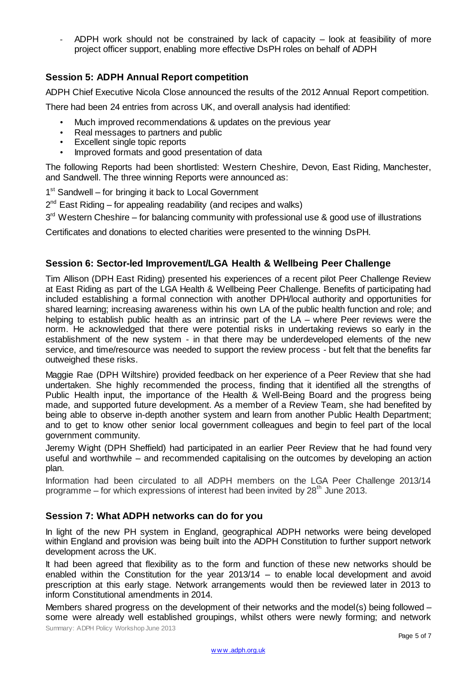ADPH work should not be constrained by lack of capacity – look at feasibility of more project officer support, enabling more effective DsPH roles on behalf of ADPH

# **Session 5: ADPH Annual Report competition**

ADPH Chief Executive Nicola Close announced the results of the 2012 Annual Report competition.

There had been 24 entries from across UK, and overall analysis had identified:

- Much improved recommendations & updates on the previous year
- Real messages to partners and public
- Excellent single topic reports
- Improved formats and good presentation of data

The following Reports had been shortlisted: Western Cheshire, Devon, East Riding, Manchester, and Sandwell. The three winning Reports were announced as:

1<sup>st</sup> Sandwell – for bringing it back to Local Government

 $2^{nd}$  East Riding – for appealing readability (and recipes and walks)

3<sup>rd</sup> Western Cheshire – for balancing community with professional use & good use of illustrations

Certificates and donations to elected charities were presented to the winning DsPH.

#### **Session 6: Sector-led Improvement/LGA Health & Wellbeing Peer Challenge**

Tim Allison (DPH East Riding) presented his experiences of a recent pilot Peer Challenge Review at East Riding as part of the LGA Health & Wellbeing Peer Challenge. Benefits of participating had included establishing a formal connection with another DPH/local authority and opportunities for shared learning; increasing awareness within his own LA of the public health function and role; and helping to establish public health as an intrinsic part of the LA – where Peer reviews were the norm. He acknowledged that there were potential risks in undertaking reviews so early in the establishment of the new system - in that there may be underdeveloped elements of the new service, and time/resource was needed to support the review process - but felt that the benefits far outweighed these risks.

Maggie Rae (DPH Wiltshire) provided feedback on her experience of a Peer Review that she had undertaken. She highly recommended the process, finding that it identified all the strengths of Public Health input, the importance of the Health & Well-Being Board and the progress being made, and supported future development. As a member of a Review Team, she had benefited by being able to observe in-depth another system and learn from another Public Health Department; and to get to know other senior local government colleagues and begin to feel part of the local government community.

Jeremy Wight (DPH Sheffield) had participated in an earlier Peer Review that he had found very useful and worthwhile – and recommended capitalising on the outcomes by developing an action plan.

Information had been circulated to all ADPH members on the LGA Peer Challenge 2013/14 programme – for which expressions of interest had been invited by  $28<sup>th</sup>$  June 2013.

#### **Session 7: What ADPH networks can do for you**

In light of the new PH system in England, geographical ADPH networks were being developed within England and provision was being built into the ADPH Constitution to further support network development across the UK.

It had been agreed that flexibility as to the form and function of these new networks should be enabled within the Constitution for the year 2013/14 – to enable local development and avoid prescription at this early stage. Network arrangements would then be reviewed later in 2013 to inform Constitutional amendments in 2014.

Summary: ADPH Policy Workshop June 2013 Members shared progress on the development of their networks and the model(s) being followed – some were already well established groupings, whilst others were newly forming; and network

w w w .adph.org.uk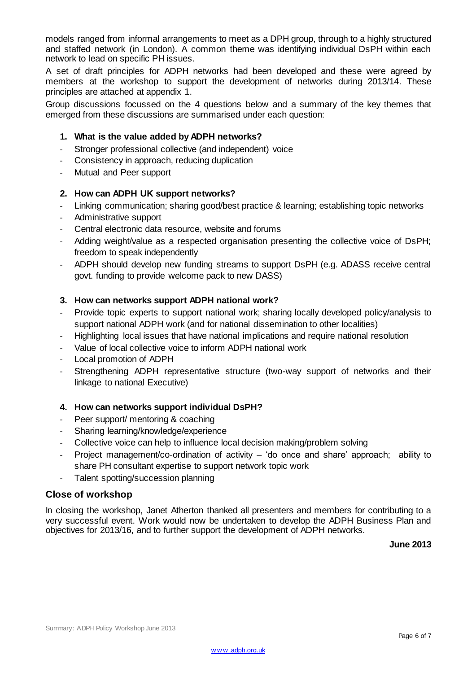models ranged from informal arrangements to meet as a DPH group, through to a highly structured and staffed network (in London). A common theme was identifying individual DsPH within each network to lead on specific PH issues.

A set of draft principles for ADPH networks had been developed and these were agreed by members at the workshop to support the development of networks during 2013/14. These principles are attached at appendix 1.

Group discussions focussed on the 4 questions below and a summary of the key themes that emerged from these discussions are summarised under each question:

#### **1. What is the value added by ADPH networks?**

- Stronger professional collective (and independent) voice
- Consistency in approach, reducing duplication
- Mutual and Peer support

#### **2. How can ADPH UK support networks?**

- Linking communication; sharing good/best practice & learning; establishing topic networks
- Administrative support
- Central electronic data resource, website and forums
- Adding weight/value as a respected organisation presenting the collective voice of DsPH; freedom to speak independently
- ADPH should develop new funding streams to support DsPH (e.g. ADASS receive central govt. funding to provide welcome pack to new DASS)

#### **3. How can networks support ADPH national work?**

- Provide topic experts to support national work; sharing locally developed policy/analysis to support national ADPH work (and for national dissemination to other localities)
- Highlighting local issues that have national implications and require national resolution
- Value of local collective voice to inform ADPH national work
- Local promotion of ADPH
- Strengthening ADPH representative structure (two-way support of networks and their linkage to national Executive)

#### **4. How can networks support individual DsPH?**

- Peer support/ mentoring & coaching
- Sharing learning/knowledge/experience
- Collective voice can help to influence local decision making/problem solving
- Project management/co-ordination of activity 'do once and share' approach; ability to share PH consultant expertise to support network topic work
- Talent spotting/succession planning

#### **Close of workshop**

In closing the workshop, Janet Atherton thanked all presenters and members for contributing to a very successful event. Work would now be undertaken to develop the ADPH Business Plan and objectives for 2013/16, and to further support the development of ADPH networks.

**June 2013**